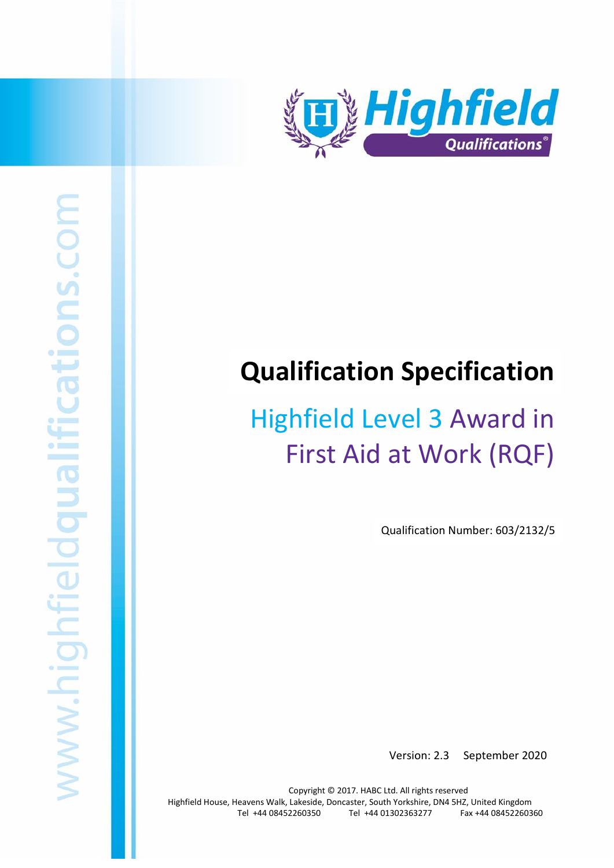

# **Qualification Specification**

# Highfield Level 3 Award in First Aid at Work (RQF)

Qualification Number: 603/2132/5

Version: 2.3 September 2020

Copyright © 2017. HABC Ltd. All rights reserved Highfield House, Heavens Walk, Lakeside, Doncaster, South Yorkshire, DN4 5HZ, United Kingdom Tel +44 08452260350 Tel +44 01302363277 Fax +44 08452260360

Higher 3 Award in First Aid at Work (RQF) 1 Award in First Aid at Work (RQF) 1 Award 1 Award 1 Award 1 Award 1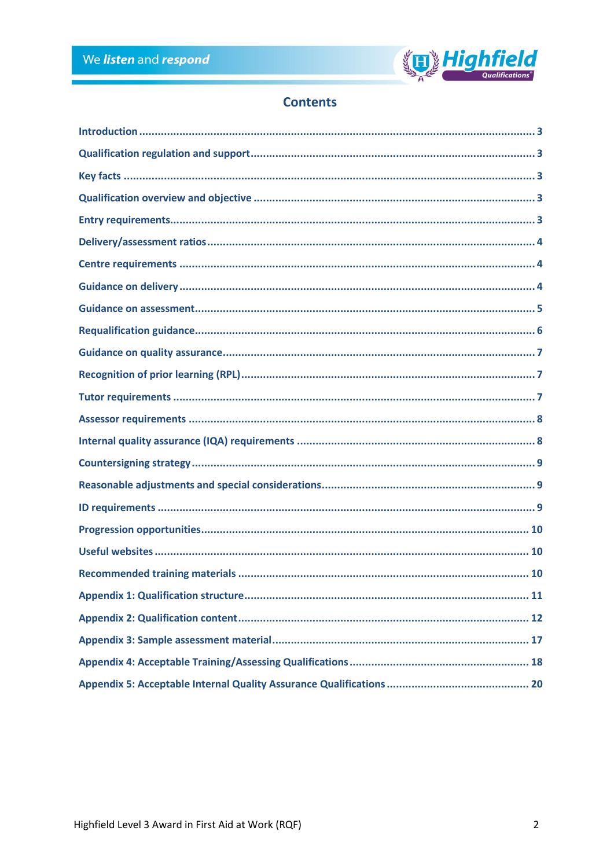

# **Contents**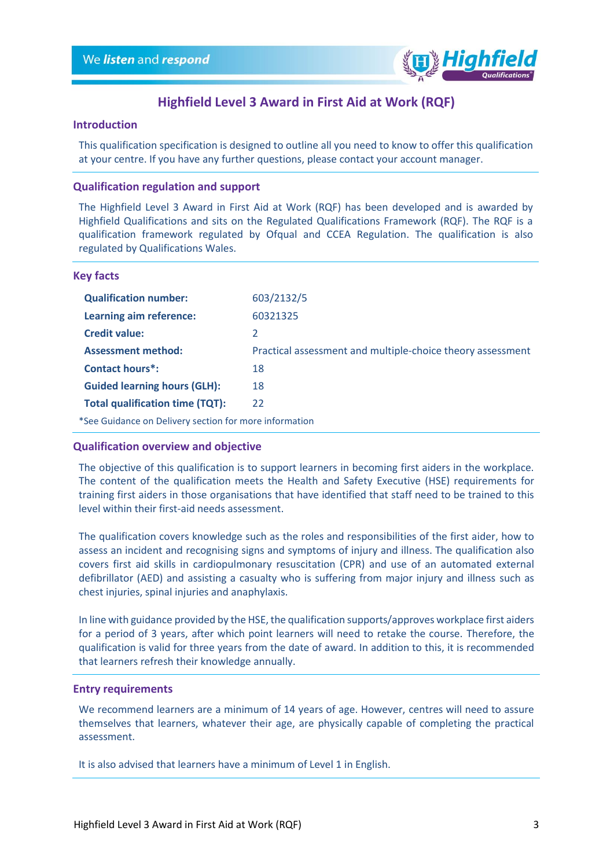

# **Highfield Level 3 Award in First Aid at Work (RQF)**

## <span id="page-2-0"></span>**Introduction**

This qualification specification is designed to outline all you need to know to offer this qualification at your centre. If you have any further questions, please contact your account manager.

# <span id="page-2-1"></span>**Qualification regulation and support**

The Highfield Level 3 Award in First Aid at Work (RQF) has been developed and is awarded by Highfield Qualifications and sits on the Regulated Qualifications Framework (RQF). The RQF is a qualification framework regulated by Ofqual and CCEA Regulation. The qualification is also regulated by Qualifications Wales.

#### <span id="page-2-2"></span>**Key facts**

| <b>Qualification number:</b>                           | 603/2132/5                                                 |
|--------------------------------------------------------|------------------------------------------------------------|
| Learning aim reference:                                | 60321325                                                   |
| <b>Credit value:</b>                                   | $\mathcal{L}$                                              |
| <b>Assessment method:</b>                              | Practical assessment and multiple-choice theory assessment |
| <b>Contact hours*:</b>                                 | 18                                                         |
| <b>Guided learning hours (GLH):</b>                    | 18                                                         |
| <b>Total qualification time (TQT):</b>                 | 22                                                         |
| *See Guidance on Delivery section for more information |                                                            |

#### <span id="page-2-3"></span>**Qualification overview and objective**

The objective of this qualification is to support learners in becoming first aiders in the workplace. The content of the qualification meets the Health and Safety Executive (HSE) requirements for training first aiders in those organisations that have identified that staff need to be trained to this level within their first-aid needs assessment.

The qualification covers knowledge such as the roles and responsibilities of the first aider, how to assess an incident and recognising signs and symptoms of injury and illness. The qualification also covers first aid skills in cardiopulmonary resuscitation (CPR) and use of an automated external defibrillator (AED) and assisting a casualty who is suffering from major injury and illness such as chest injuries, spinal injuries and anaphylaxis.

In line with guidance provided by the HSE, the qualification supports/approves workplace first aiders for a period of 3 years, after which point learners will need to retake the course. Therefore, the qualification is valid for three years from the date of award. In addition to this, it is recommended that learners refresh their knowledge annually.

#### <span id="page-2-4"></span>**Entry requirements**

We recommend learners are a minimum of 14 years of age. However, centres will need to assure themselves that learners, whatever their age, are physically capable of completing the practical assessment.

It is also advised that learners have a minimum of Level 1 in English.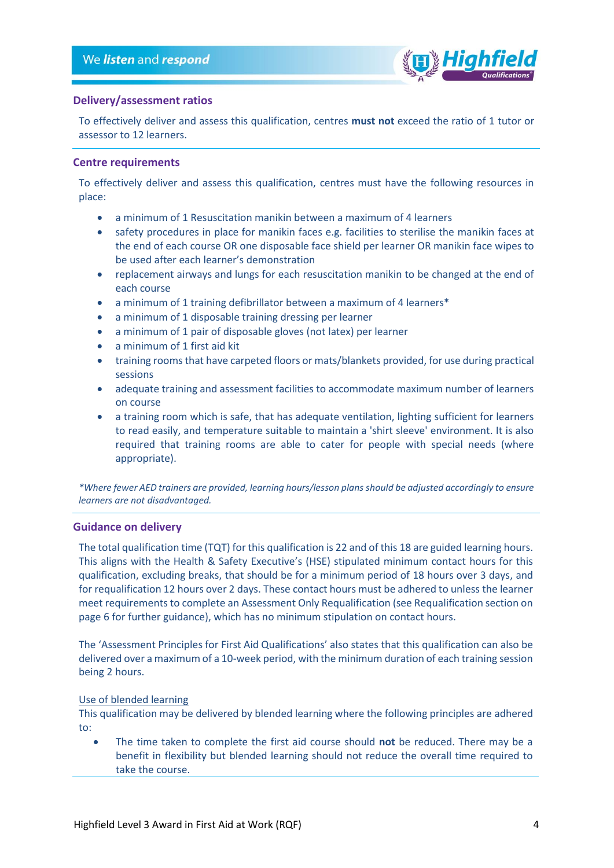

# <span id="page-3-0"></span>**Delivery/assessment ratios**

To effectively deliver and assess this qualification, centres **must not** exceed the ratio of 1 tutor or assessor to 12 learners.

# <span id="page-3-1"></span>**Centre requirements**

To effectively deliver and assess this qualification, centres must have the following resources in place:

- a minimum of 1 Resuscitation manikin between a maximum of 4 learners
- safety procedures in place for manikin faces e.g. facilities to sterilise the manikin faces at the end of each course OR one disposable face shield per learner OR manikin face wipes to be used after each learner's demonstration
- replacement airways and lungs for each resuscitation manikin to be changed at the end of each course
- a minimum of 1 training defibrillator between a maximum of 4 learners\*
- a minimum of 1 disposable training dressing per learner
- a minimum of 1 pair of disposable gloves (not latex) per learner
- a minimum of 1 first aid kit
- training rooms that have carpeted floors or mats/blankets provided, for use during practical sessions
- adequate training and assessment facilities to accommodate maximum number of learners on course
- a training room which is safe, that has adequate ventilation, lighting sufficient for learners to read easily, and temperature suitable to maintain a 'shirt sleeve' environment. It is also required that training rooms are able to cater for people with special needs (where appropriate).

*\*Where fewer AED trainers are provided, learning hours/lesson plans should be adjusted accordingly to ensure learners are not disadvantaged.*

# <span id="page-3-2"></span>**Guidance on delivery**

The total qualification time (TQT) for this qualification is 22 and of this 18 are guided learning hours. This aligns with the Health & Safety Executive's (HSE) stipulated minimum contact hours for this qualification, excluding breaks, that should be for a minimum period of 18 hours over 3 days, and for requalification 12 hours over 2 days. These contact hours must be adhered to unless the learner meet requirements to complete an Assessment Only Requalification (see Requalification section on page 6 for further guidance), which has no minimum stipulation on contact hours.

The 'Assessment Principles for First Aid Qualifications' also states that this qualification can also be delivered over a maximum of a 10-week period, with the minimum duration of each training session being 2 hours.

# Use of blended learning

This qualification may be delivered by blended learning where the following principles are adhered to:

• The time taken to complete the first aid course should **not** be reduced. There may be a benefit in flexibility but blended learning should not reduce the overall time required to take the course.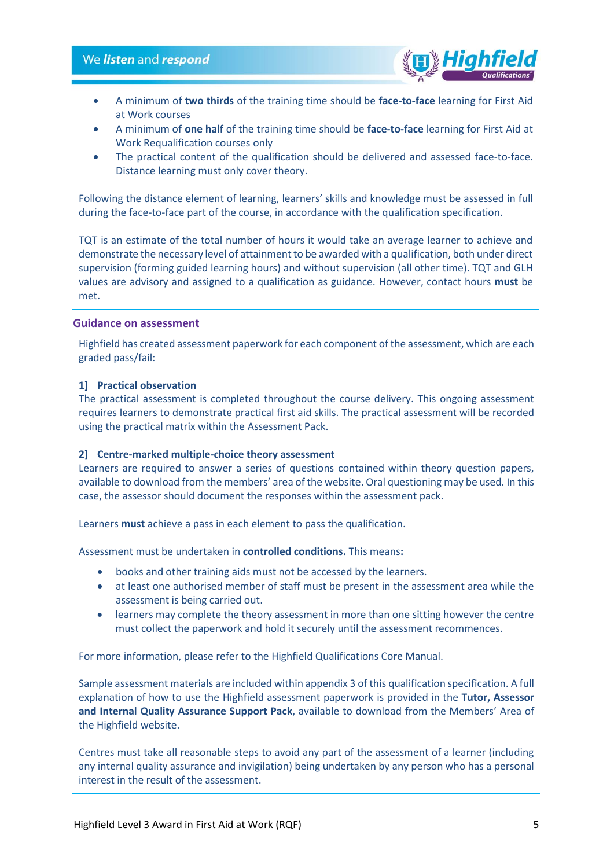

- A minimum of **two thirds** of the training time should be **face-to-face** learning for First Aid at Work courses
- A minimum of **one half** of the training time should be **face-to-face** learning for First Aid at Work Requalification courses only
- The practical content of the qualification should be delivered and assessed face-to-face. Distance learning must only cover theory.

Following the distance element of learning, learners' skills and knowledge must be assessed in full during the face-to-face part of the course, in accordance with the qualification specification.

TQT is an estimate of the total number of hours it would take an average learner to achieve and demonstrate the necessary level of attainment to be awarded with a qualification, both under direct supervision (forming guided learning hours) and without supervision (all other time). TQT and GLH values are advisory and assigned to a qualification as guidance. However, contact hours **must** be met.

# <span id="page-4-0"></span>**Guidance on assessment**

Highfield has created assessment paperwork for each component of the assessment, which are each graded pass/fail:

#### **1] Practical observation**

The practical assessment is completed throughout the course delivery. This ongoing assessment requires learners to demonstrate practical first aid skills. The practical assessment will be recorded using the practical matrix within the Assessment Pack.

# **2] Centre-marked multiple-choice theory assessment**

Learners are required to answer a series of questions contained within theory question papers, available to download from the members' area of the website. Oral questioning may be used. In this case, the assessor should document the responses within the assessment pack.

Learners **must** achieve a pass in each element to pass the qualification.

Assessment must be undertaken in **controlled conditions.** This means**:**

- books and other training aids must not be accessed by the learners.
- at least one authorised member of staff must be present in the assessment area while the assessment is being carried out.
- learners may complete the theory assessment in more than one sitting however the centre must collect the paperwork and hold it securely until the assessment recommences.

For more information, please refer to the Highfield Qualifications Core Manual.

Sample assessment materials are included within appendix 3 of this qualification specification. A full explanation of how to use the Highfield assessment paperwork is provided in the **Tutor, Assessor and Internal Quality Assurance Support Pack**, available to download from the Members' Area of the Highfield website.

Centres must take all reasonable steps to avoid any part of the assessment of a learner (including any internal quality assurance and invigilation) being undertaken by any person who has a personal interest in the result of the assessment.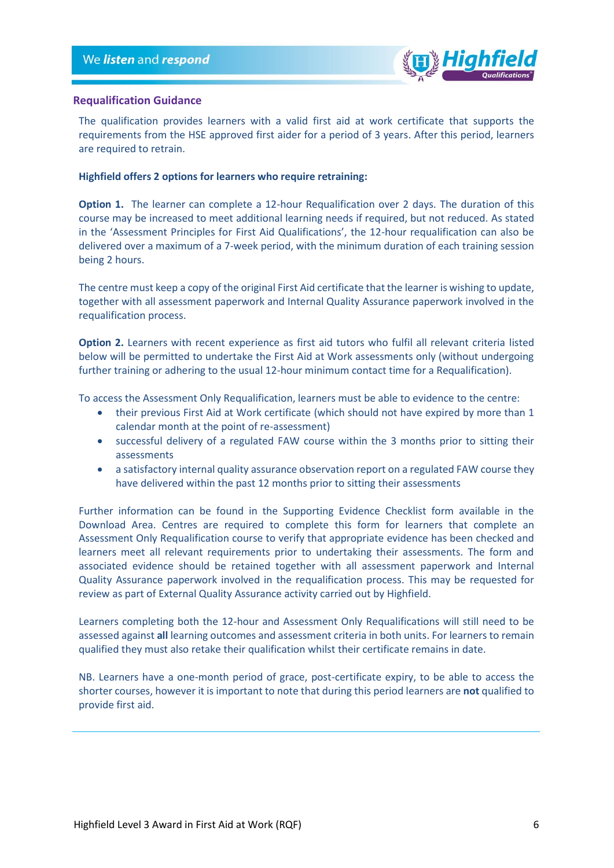

# <span id="page-5-0"></span>**Requalification Guidance**

The qualification provides learners with a valid first aid at work certificate that supports the requirements from the HSE approved first aider for a period of 3 years. After this period, learners are required to retrain.

# **Highfield offers 2 options for learners who require retraining:**

**Option 1.** The learner can complete a 12-hour Requalification over 2 days. The duration of this course may be increased to meet additional learning needs if required, but not reduced. As stated in the 'Assessment Principles for First Aid Qualifications', the 12-hour requalification can also be delivered over a maximum of a 7-week period, with the minimum duration of each training session being 2 hours.

The centre must keep a copy of the original First Aid certificate that the learner is wishing to update, together with all assessment paperwork and Internal Quality Assurance paperwork involved in the requalification process.

**Option 2.** Learners with recent experience as first aid tutors who fulfil all relevant criteria listed below will be permitted to undertake the First Aid at Work assessments only (without undergoing further training or adhering to the usual 12-hour minimum contact time for a Requalification).

To access the Assessment Only Requalification, learners must be able to evidence to the centre:

- their previous First Aid at Work certificate (which should not have expired by more than 1 calendar month at the point of re-assessment)
- successful delivery of a regulated FAW course within the 3 months prior to sitting their assessments
- a satisfactory internal quality assurance observation report on a regulated FAW course they have delivered within the past 12 months prior to sitting their assessments

Further information can be found in the Supporting Evidence Checklist form available in the Download Area. Centres are required to complete this form for learners that complete an Assessment Only Requalification course to verify that appropriate evidence has been checked and learners meet all relevant requirements prior to undertaking their assessments. The form and associated evidence should be retained together with all assessment paperwork and Internal Quality Assurance paperwork involved in the requalification process. This may be requested for review as part of External Quality Assurance activity carried out by Highfield.

Learners completing both the 12-hour and Assessment Only Requalifications will still need to be assessed against **all** learning outcomes and assessment criteria in both units. For learners to remain qualified they must also retake their qualification whilst their certificate remains in date.

NB. Learners have a one-month period of grace, post-certificate expiry, to be able to access the shorter courses, however it is important to note that during this period learners are **not** qualified to provide first aid.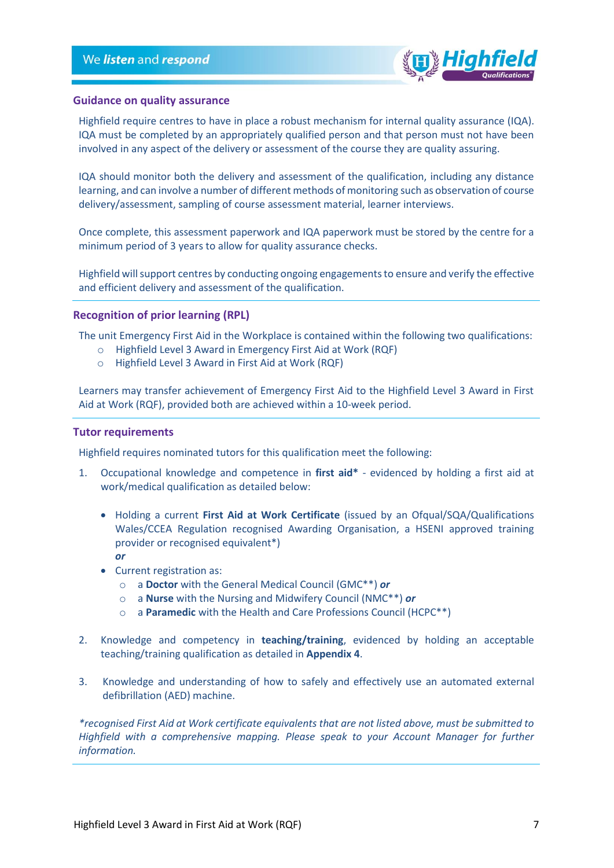

#### <span id="page-6-0"></span>**Guidance on quality assurance**

Highfield require centres to have in place a robust mechanism for internal quality assurance (IQA). IQA must be completed by an appropriately qualified person and that person must not have been involved in any aspect of the delivery or assessment of the course they are quality assuring.

IQA should monitor both the delivery and assessment of the qualification, including any distance learning, and can involve a number of different methods of monitoring such as observation of course delivery/assessment, sampling of course assessment material, learner interviews.

Once complete, this assessment paperwork and IQA paperwork must be stored by the centre for a minimum period of 3 years to allow for quality assurance checks.

Highfield will support centres by conducting ongoing engagements to ensure and verify the effective and efficient delivery and assessment of the qualification.

# <span id="page-6-1"></span>**Recognition of prior learning (RPL)**

The unit Emergency First Aid in the Workplace is contained within the following two qualifications:

- o Highfield Level 3 Award in Emergency First Aid at Work (RQF)
- o Highfield Level 3 Award in First Aid at Work (RQF)

Learners may transfer achievement of Emergency First Aid to the Highfield Level 3 Award in First Aid at Work (RQF), provided both are achieved within a 10-week period.

#### <span id="page-6-2"></span>**Tutor requirements**

Highfield requires nominated tutors for this qualification meet the following:

- 1. Occupational knowledge and competence in **first aid\*** evidenced by holding a first aid at work/medical qualification as detailed below:
	- Holding a current **First Aid at Work Certificate** (issued by an Ofqual/SQA/Qualifications Wales/CCEA Regulation recognised Awarding Organisation, a HSENI approved training provider or recognised equivalent\*)
		- *or*
	- Current registration as:
		- o a **Doctor** with the General Medical Council (GMC\*\*) *or*
		- o a **Nurse** with the Nursing and Midwifery Council (NMC\*\*) *or*
		- o a **Paramedic** with the Health and Care Professions Council (HCPC\*\*)
- 2. Knowledge and competency in **teaching/training**, evidenced by holding an acceptable teaching/training qualification as detailed in **Appendix 4**.
- 3. Knowledge and understanding of how to safely and effectively use an automated external defibrillation (AED) machine.

*\*recognised First Aid at Work certificate equivalents that are not listed above, must be submitted to Highfield with a comprehensive mapping. Please speak to your Account Manager for further information.*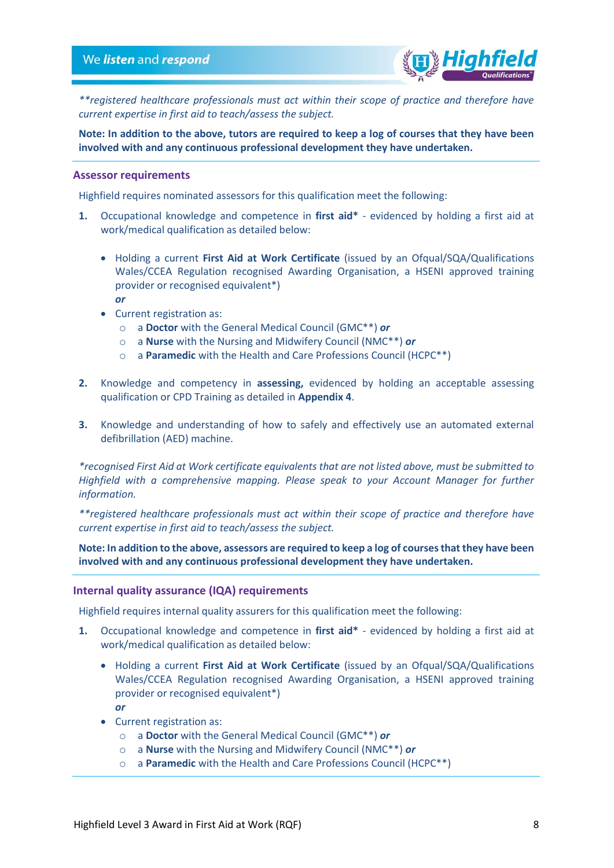

*\*\*registered healthcare professionals must act within their scope of practice and therefore have current expertise in first aid to teach/assess the subject.*

**Note: In addition to the above, tutors are required to keep a log of courses that they have been involved with and any continuous professional development they have undertaken.**

#### <span id="page-7-0"></span>**Assessor requirements**

Highfield requires nominated assessors for this qualification meet the following:

- **1.** Occupational knowledge and competence in **first aid\*** evidenced by holding a first aid at work/medical qualification as detailed below:
	- Holding a current **First Aid at Work Certificate** (issued by an Ofqual/SQA/Qualifications Wales/CCEA Regulation recognised Awarding Organisation, a HSENI approved training provider or recognised equivalent\*) *or*
	- Current registration as:
		- o a **Doctor** with the General Medical Council (GMC\*\*) *or*
		- o a **Nurse** with the Nursing and Midwifery Council (NMC\*\*) *or*
		- o a **Paramedic** with the Health and Care Professions Council (HCPC\*\*)
- **2.** Knowledge and competency in **assessing,** evidenced by holding an acceptable assessing qualification or CPD Training as detailed in **Appendix 4**.
- **3.** Knowledge and understanding of how to safely and effectively use an automated external defibrillation (AED) machine.

*\*recognised First Aid at Work certificate equivalents that are not listed above, must be submitted to Highfield with a comprehensive mapping. Please speak to your Account Manager for further information.*

*\*\*registered healthcare professionals must act within their scope of practice and therefore have current expertise in first aid to teach/assess the subject.*

**Note: In addition to the above, assessors are required to keep a log of courses that they have been involved with and any continuous professional development they have undertaken.**

#### <span id="page-7-1"></span>**Internal quality assurance (IQA) requirements**

Highfield requires internal quality assurers for this qualification meet the following:

- **1.** Occupational knowledge and competence in **first aid\*** evidenced by holding a first aid at work/medical qualification as detailed below:
	- Holding a current **First Aid at Work Certificate** (issued by an Ofqual/SQA/Qualifications Wales/CCEA Regulation recognised Awarding Organisation, a HSENI approved training provider or recognised equivalent\*) *or*
	- Current registration as:
		- o a **Doctor** with the General Medical Council (GMC\*\*) *or*
		- o a **Nurse** with the Nursing and Midwifery Council (NMC\*\*) *or*
		- o a **Paramedic** with the Health and Care Professions Council (HCPC\*\*)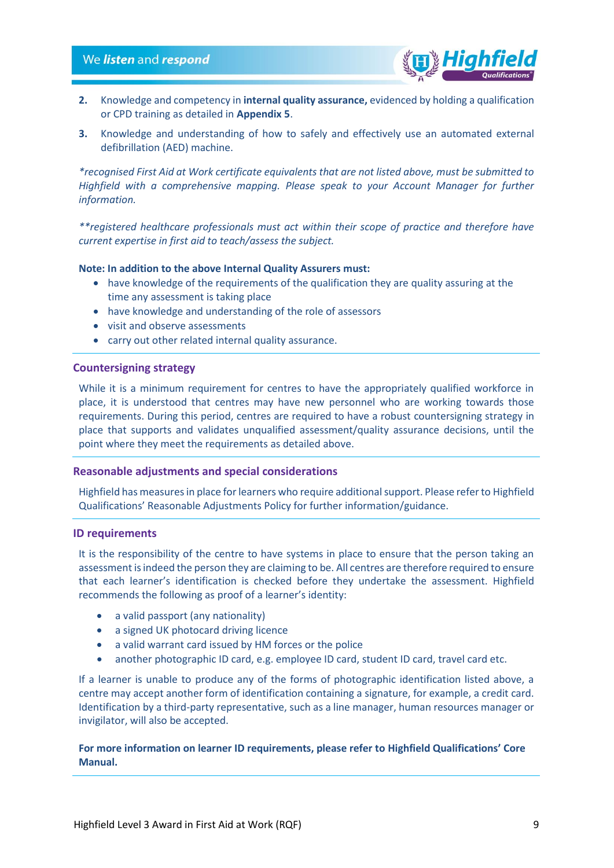

- **2.** Knowledge and competency in **internal quality assurance,** evidenced by holding a qualification or CPD training as detailed in **Appendix 5**.
- **3.** Knowledge and understanding of how to safely and effectively use an automated external defibrillation (AED) machine.

*\*recognised First Aid at Work certificate equivalents that are not listed above, must be submitted to Highfield with a comprehensive mapping. Please speak to your Account Manager for further information.*

*\*\*registered healthcare professionals must act within their scope of practice and therefore have current expertise in first aid to teach/assess the subject.*

#### **Note: In addition to the above Internal Quality Assurers must:**

- have knowledge of the requirements of the qualification they are quality assuring at the time any assessment is taking place
- have knowledge and understanding of the role of assessors
- visit and observe assessments
- carry out other related internal quality assurance.

#### <span id="page-8-0"></span>**Countersigning strategy**

While it is a minimum requirement for centres to have the appropriately qualified workforce in place, it is understood that centres may have new personnel who are working towards those requirements. During this period, centres are required to have a robust countersigning strategy in place that supports and validates unqualified assessment/quality assurance decisions, until the point where they meet the requirements as detailed above.

#### <span id="page-8-1"></span>**Reasonable adjustments and special considerations**

Highfield has measures in place for learners who require additional support. Please refer to Highfield Qualifications' Reasonable Adjustments Policy for further information/guidance.

#### <span id="page-8-2"></span>**ID requirements**

It is the responsibility of the centre to have systems in place to ensure that the person taking an assessment is indeed the person they are claiming to be. All centres are therefore required to ensure that each learner's identification is checked before they undertake the assessment. Highfield recommends the following as proof of a learner's identity:

- a valid passport (any nationality)
- a signed UK photocard driving licence
- a valid warrant card issued by HM forces or the police
- another photographic ID card, e.g. employee ID card, student ID card, travel card etc.

If a learner is unable to produce any of the forms of photographic identification listed above, a centre may accept another form of identification containing a signature, for example, a credit card. Identification by a third-party representative, such as a line manager, human resources manager or invigilator, will also be accepted.

**For more information on learner ID requirements, please refer to Highfield Qualifications' Core Manual.**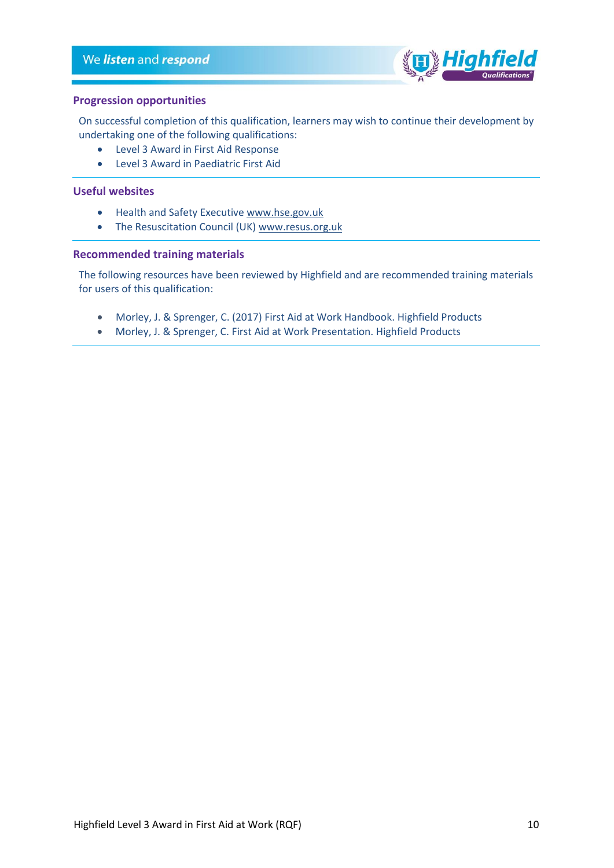

## <span id="page-9-0"></span>**Progression opportunities**

On successful completion of this qualification, learners may wish to continue their development by undertaking one of the following qualifications:

- Level 3 Award in First Aid Response
- Level 3 Award in Paediatric First Aid

# <span id="page-9-1"></span>**Useful websites**

- Health and Safety Executive [www.hse.gov.uk](file://///slartibartfast/Datafiles/Departments/Awarding%20Body/HABC_Qualifications/1%5d%20Qualification%20Development/2%5d%20Qualifications/2%5d%20SCQF/SCQF%20L5%20EFAW/www.hse.gov.uk)
- The Resuscitation Council (UK[\) www.resus.org.uk](file://///slartibartfast/Datafiles/Departments/Awarding%20Body/HABC_Qualifications/1%5d%20Qualification%20Development/2%5d%20Qualifications/2%5d%20SCQF/SCQF%20L5%20EFAW/www.resus.org.uk)

## <span id="page-9-2"></span>**Recommended training materials**

The following resources have been reviewed by Highfield and are recommended training materials for users of this qualification:

- Morley, J. & Sprenger, C. (2017) First Aid at Work Handbook. Highfield Products
- <span id="page-9-3"></span>• Morley, J. & Sprenger, C. First Aid at Work Presentation. Highfield Products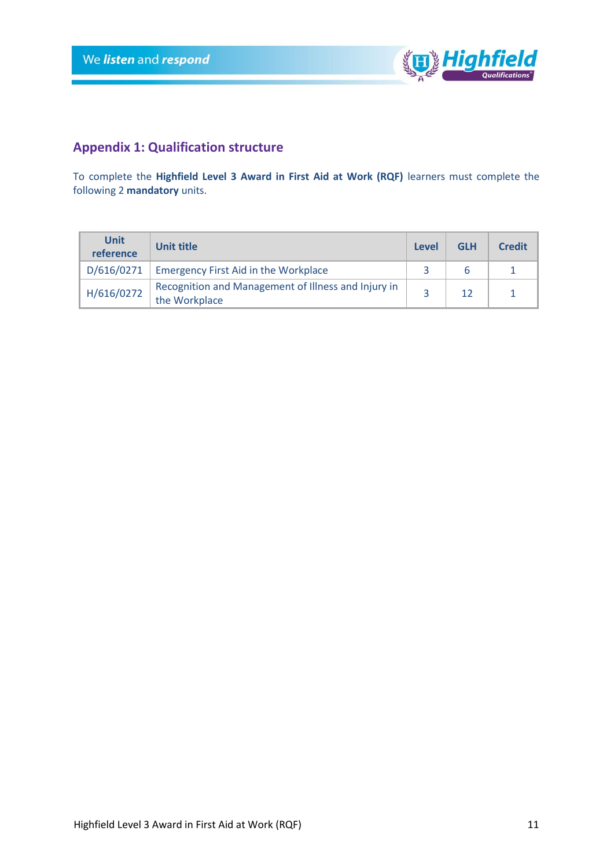

# **Appendix 1: Qualification structure**

To complete the **Highfield Level 3 Award in First Aid at Work (RQF)** learners must complete the following 2 **mandatory** units.

| <b>Unit</b><br>reference | Unit title                                                           | Level | <b>GLH</b> | <b>Credit</b> |
|--------------------------|----------------------------------------------------------------------|-------|------------|---------------|
| D/616/0271               | <b>Emergency First Aid in the Workplace</b>                          |       |            |               |
| H/616/0272               | Recognition and Management of Illness and Injury in<br>the Workplace |       |            |               |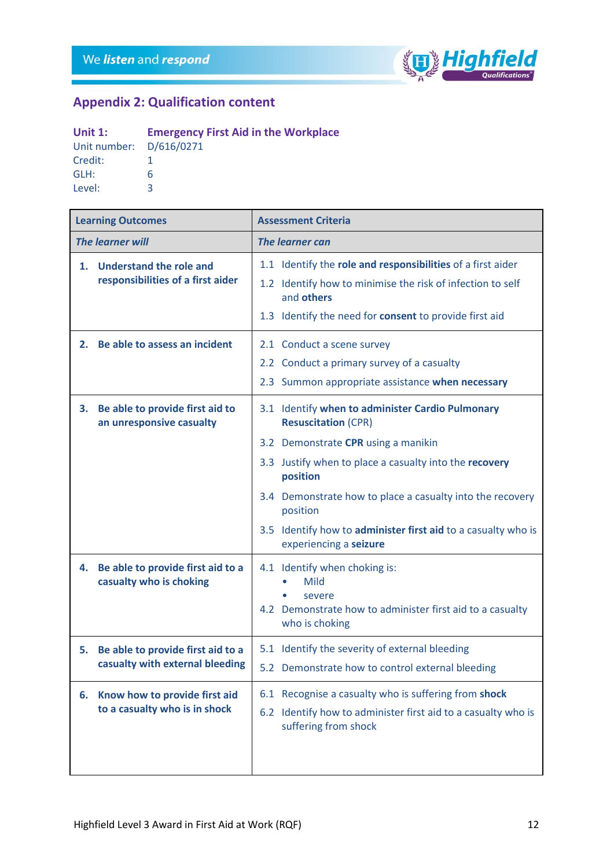

# <span id="page-11-0"></span>**Appendix 2: Qualification content**

| Unit $1:$               | <b>Emergency First Aid in the Workplace</b> |
|-------------------------|---------------------------------------------|
| Unit number: D/616/0271 |                                             |
| Credit:                 |                                             |
| GLH:                    | 6                                           |
| Level:                  | ₹                                           |

| <b>Learning Outcomes</b>                                                   | <b>Assessment Criteria</b>                                                                                                                                                                                                                                                                                                                                      |  |  |  |  |  |
|----------------------------------------------------------------------------|-----------------------------------------------------------------------------------------------------------------------------------------------------------------------------------------------------------------------------------------------------------------------------------------------------------------------------------------------------------------|--|--|--|--|--|
| <b>The learner will</b>                                                    | <b>The learner can</b>                                                                                                                                                                                                                                                                                                                                          |  |  |  |  |  |
| <b>Understand the role and</b><br>1.<br>responsibilities of a first aider  | 1.1 Identify the role and responsibilities of a first aider<br>1.2 Identify how to minimise the risk of infection to self<br>and others<br>1.3 Identify the need for consent to provide first aid                                                                                                                                                               |  |  |  |  |  |
| Be able to assess an incident<br>2.                                        | 2.1 Conduct a scene survey<br>2.2 Conduct a primary survey of a casualty<br>2.3 Summon appropriate assistance when necessary                                                                                                                                                                                                                                    |  |  |  |  |  |
| Be able to provide first aid to<br>3.<br>an unresponsive casualty          | 3.1 Identify when to administer Cardio Pulmonary<br><b>Resuscitation (CPR)</b><br>3.2 Demonstrate CPR using a manikin<br>3.3 Justify when to place a casualty into the recovery<br>position<br>3.4 Demonstrate how to place a casualty into the recovery<br>position<br>3.5 Identify how to administer first aid to a casualty who is<br>experiencing a seizure |  |  |  |  |  |
| Be able to provide first aid to a<br>4.<br>casualty who is choking         | 4.1 Identify when choking is:<br>Mild<br>severe<br>4.2 Demonstrate how to administer first aid to a casualty<br>who is choking                                                                                                                                                                                                                                  |  |  |  |  |  |
| Be able to provide first aid to a<br>5.<br>casualty with external bleeding | 5.1 Identify the severity of external bleeding<br>5.2 Demonstrate how to control external bleeding                                                                                                                                                                                                                                                              |  |  |  |  |  |
| Know how to provide first aid<br>6.<br>to a casualty who is in shock       | 6.1 Recognise a casualty who is suffering from shock<br>6.2 Identify how to administer first aid to a casualty who is<br>suffering from shock                                                                                                                                                                                                                   |  |  |  |  |  |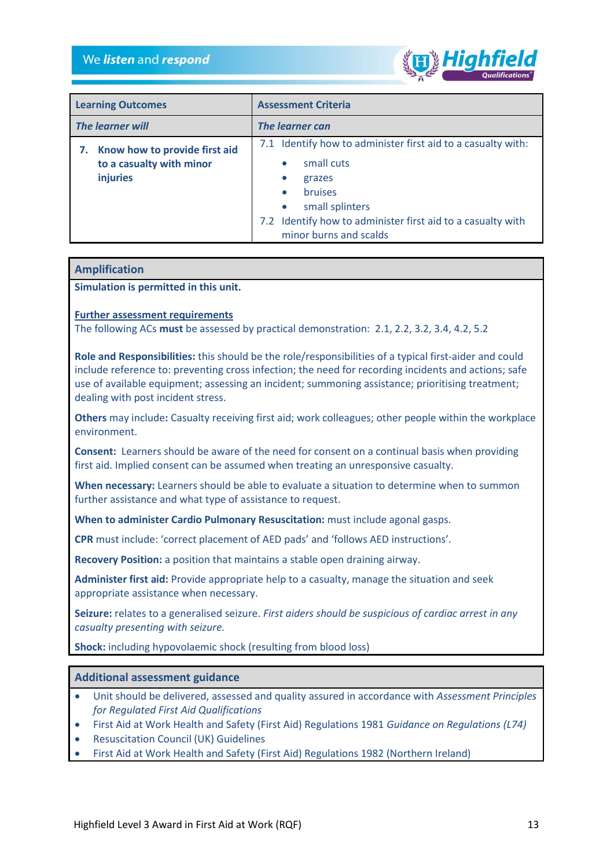

| <b>Learning Outcomes</b>         | <b>Assessment Criteria</b>                                   |  |  |  |  |  |
|----------------------------------|--------------------------------------------------------------|--|--|--|--|--|
| <b>The learner will</b>          | The learner can                                              |  |  |  |  |  |
| 7. Know how to provide first aid | 7.1 Identify how to administer first aid to a casualty with: |  |  |  |  |  |
| to a casualty with minor         | small cuts<br>$\bullet$                                      |  |  |  |  |  |
| injuries                         | grazes<br>$\bullet$                                          |  |  |  |  |  |
|                                  | <b>bruises</b><br>$\bullet$                                  |  |  |  |  |  |
|                                  | small splinters<br>$\bullet$                                 |  |  |  |  |  |
|                                  | 7.2 Identify how to administer first aid to a casualty with  |  |  |  |  |  |
|                                  | minor burns and scalds                                       |  |  |  |  |  |

### **Amplification**

**Simulation is permitted in this unit.** 

**Further assessment requirements** 

The following ACs **must** be assessed by practical demonstration: 2.1, 2.2, 3.2, 3.4, 4.2, 5.2

**Role and Responsibilities:** this should be the role/responsibilities of a typical first-aider and could include reference to: preventing cross infection; the need for recording incidents and actions; safe use of available equipment; assessing an incident; summoning assistance; prioritising treatment; dealing with post incident stress.

**Others** may include**:** Casualty receiving first aid; work colleagues; other people within the workplace environment.

**Consent:** Learners should be aware of the need for consent on a continual basis when providing first aid. Implied consent can be assumed when treating an unresponsive casualty.

**When necessary:** Learners should be able to evaluate a situation to determine when to summon further assistance and what type of assistance to request.

**When to administer Cardio Pulmonary Resuscitation:** must include agonal gasps.

**CPR** must include: 'correct placement of AED pads' and 'follows AED instructions'.

**Recovery Position:** a position that maintains a stable open draining airway.

**Administer first aid:** Provide appropriate help to a casualty, manage the situation and seek appropriate assistance when necessary.

**Seizure:** relates to a generalised seizure. *First aiders should be suspicious of cardiac arrest in any casualty presenting with seizure.*

**Shock:** including hypovolaemic shock (resulting from blood loss)

# **Additional assessment guidance**

- Unit should be delivered, assessed and quality assured in accordance with *Assessment Principles for Regulated First Aid Qualifications*
- First Aid at Work Health and Safety (First Aid) Regulations 1981 *Guidance on Regulations (L74)*
- Resuscitation Council (UK) Guidelines
- First Aid at Work Health and Safety (First Aid) Regulations 1982 (Northern Ireland)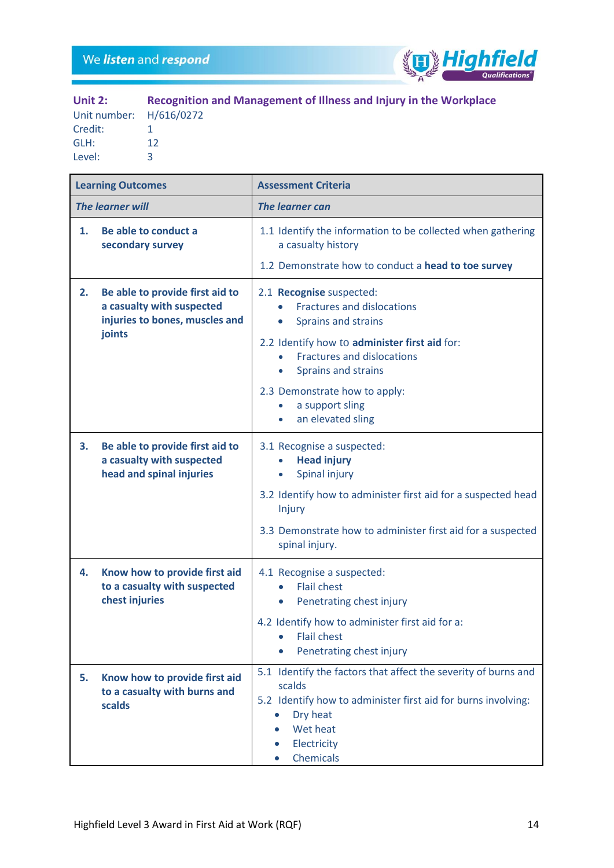

| Unit 2:    | Recognition and Management of Illness and Injury in the Workplace |
|------------|-------------------------------------------------------------------|
|            | Unit number: H/616/0272                                           |
| Caracteria |                                                                   |

Credit: 1 GLH: 12<br>Level: 3 Level:

'n

|    | <b>Learning Outcomes</b>                                                                                 | <b>Assessment Criteria</b>                                                                                                                                                                                                                                                                                            |  |  |  |  |  |  |
|----|----------------------------------------------------------------------------------------------------------|-----------------------------------------------------------------------------------------------------------------------------------------------------------------------------------------------------------------------------------------------------------------------------------------------------------------------|--|--|--|--|--|--|
|    | <b>The learner will</b>                                                                                  | The learner can                                                                                                                                                                                                                                                                                                       |  |  |  |  |  |  |
| 1. | Be able to conduct a<br>secondary survey                                                                 | 1.1 Identify the information to be collected when gathering<br>a casualty history<br>1.2 Demonstrate how to conduct a head to toe survey                                                                                                                                                                              |  |  |  |  |  |  |
| 2. | Be able to provide first aid to<br>a casualty with suspected<br>injuries to bones, muscles and<br>joints | 2.1 Recognise suspected:<br><b>Fractures and dislocations</b><br><b>Sprains and strains</b><br>$\bullet$<br>2.2 Identify how to administer first aid for:<br><b>Fractures and dislocations</b><br>Sprains and strains<br>۰<br>2.3 Demonstrate how to apply:<br>a support sling<br>٠<br>an elevated sling<br>$\bullet$ |  |  |  |  |  |  |
| 3. | Be able to provide first aid to<br>a casualty with suspected<br>head and spinal injuries                 | 3.1 Recognise a suspected:<br><b>Head injury</b><br>Spinal injury<br>$\bullet$<br>3.2 Identify how to administer first aid for a suspected head<br>Injury<br>3.3 Demonstrate how to administer first aid for a suspected<br>spinal injury.                                                                            |  |  |  |  |  |  |
| 4. | Know how to provide first aid<br>to a casualty with suspected<br>chest injuries                          | 4.1 Recognise a suspected:<br><b>Flail chest</b><br>Penetrating chest injury<br>$\bullet$<br>4.2 Identify how to administer first aid for a:<br><b>Flail chest</b><br>Penetrating chest injury                                                                                                                        |  |  |  |  |  |  |
| 5. | Know how to provide first aid<br>to a casualty with burns and<br>scalds                                  | 5.1 Identify the factors that affect the severity of burns and<br>scalds<br>5.2 Identify how to administer first aid for burns involving:<br>Dry heat<br>Wet heat<br>Electricity<br><b>Chemicals</b>                                                                                                                  |  |  |  |  |  |  |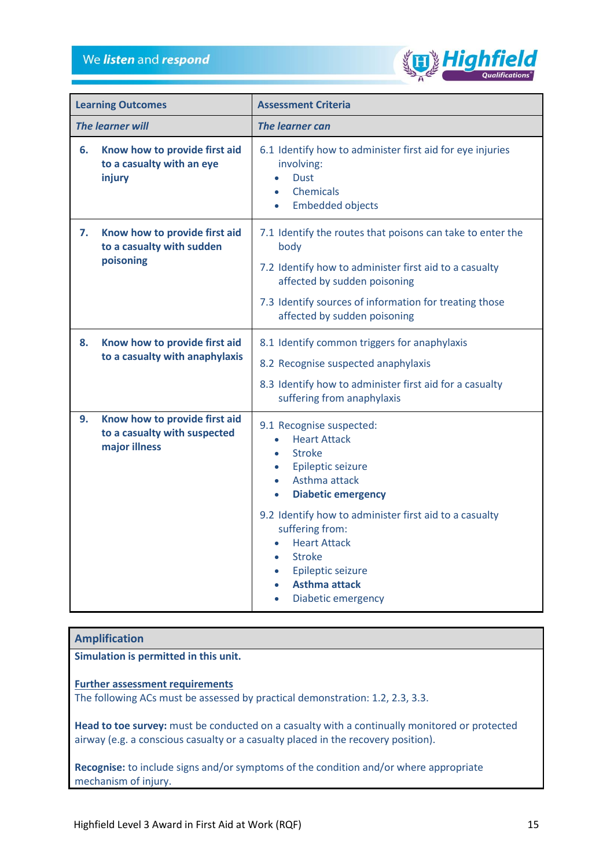

| <b>Learning Outcomes</b>                                                             | <b>Assessment Criteria</b>                                                                                                                                                                                                                                                                                                                                                                                                         |  |  |  |  |  |
|--------------------------------------------------------------------------------------|------------------------------------------------------------------------------------------------------------------------------------------------------------------------------------------------------------------------------------------------------------------------------------------------------------------------------------------------------------------------------------------------------------------------------------|--|--|--|--|--|
| The learner will                                                                     | <b>The learner can</b>                                                                                                                                                                                                                                                                                                                                                                                                             |  |  |  |  |  |
| Know how to provide first aid<br>6.<br>to a casualty with an eye<br>injury           | 6.1 Identify how to administer first aid for eye injuries<br>involving:<br><b>Dust</b><br>$\bullet$<br>Chemicals<br>$\bullet$<br><b>Embedded objects</b><br>$\bullet$                                                                                                                                                                                                                                                              |  |  |  |  |  |
| Know how to provide first aid<br>7.<br>to a casualty with sudden<br>poisoning        | 7.1 Identify the routes that poisons can take to enter the<br>body<br>7.2 Identify how to administer first aid to a casualty<br>affected by sudden poisoning<br>7.3 Identify sources of information for treating those<br>affected by sudden poisoning                                                                                                                                                                             |  |  |  |  |  |
| 8.<br>Know how to provide first aid<br>to a casualty with anaphylaxis                | 8.1 Identify common triggers for anaphylaxis<br>8.2 Recognise suspected anaphylaxis<br>8.3 Identify how to administer first aid for a casualty<br>suffering from anaphylaxis                                                                                                                                                                                                                                                       |  |  |  |  |  |
| Know how to provide first aid<br>9.<br>to a casualty with suspected<br>major illness | 9.1 Recognise suspected:<br><b>Heart Attack</b><br>$\bullet$<br><b>Stroke</b><br>٠<br><b>Epileptic seizure</b><br>$\bullet$<br>Asthma attack<br>$\bullet$<br><b>Diabetic emergency</b><br>$\bullet$<br>9.2 Identify how to administer first aid to a casualty<br>suffering from:<br><b>Heart Attack</b><br>$\bullet$<br><b>Stroke</b><br>$\bullet$<br>Epileptic seizure<br><b>Asthma attack</b><br>Diabetic emergency<br>$\bullet$ |  |  |  |  |  |

| <b>Amplification</b>                                                                                                                                                               |
|------------------------------------------------------------------------------------------------------------------------------------------------------------------------------------|
| Simulation is permitted in this unit.                                                                                                                                              |
| <b>Further assessment requirements</b><br>The following ACs must be assessed by practical demonstration: 1.2, 2.3, 3.3.                                                            |
| Head to toe survey: must be conducted on a casualty with a continually monitored or protected<br>airway (e.g. a conscious casualty or a casualty placed in the recovery position). |
| Recognise: to include signs and/or symptoms of the condition and/or where appropriate                                                                                              |

mechanism of injury.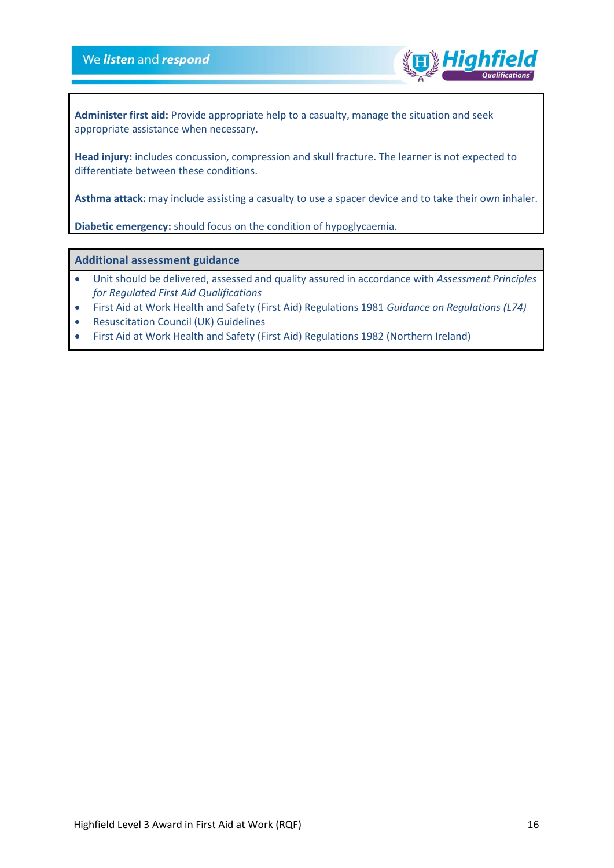

**Administer first aid:** Provide appropriate help to a casualty, manage the situation and seek appropriate assistance when necessary.

**Head injury:** includes concussion, compression and skull fracture. The learner is not expected to differentiate between these conditions.

**Asthma attack:** may include assisting a casualty to use a spacer device and to take their own inhaler.

**Diabetic emergency:** should focus on the condition of hypoglycaemia.

#### **Additional assessment guidance**

- Unit should be delivered, assessed and quality assured in accordance with *Assessment Principles for Regulated First Aid Qualifications*
- First Aid at Work Health and Safety (First Aid) Regulations 1981 *Guidance on Regulations (L74)*
- Resuscitation Council (UK) Guidelines
- First Aid at Work Health and Safety (First Aid) Regulations 1982 (Northern Ireland)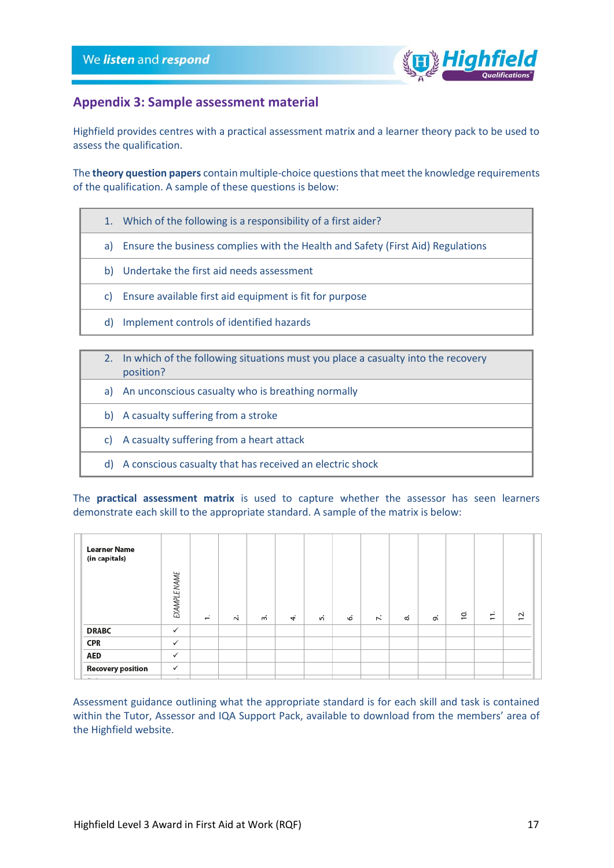

# <span id="page-16-0"></span>**Appendix 3: Sample assessment material**

Highfield provides centres with a practical assessment matrix and a learner theory pack to be used to assess the qualification.

The **theory question papers** contain multiple-choice questionsthat meet the knowledge requirements of the qualification. A sample of these questions is below:

- 1. Which of the following is a responsibility of a first aider?
- a) Ensure the business complies with the Health and Safety (First Aid) Regulations
- b) Undertake the first aid needs assessment
- c) Ensure available first aid equipment is fit for purpose
- d) Implement controls of identified hazards
- 2. In which of the following situations must you place a casualty into the recovery position?
	- a) An unconscious casualty who is breathing normally
	- b) A casualty suffering from a stroke
	- c) A casualty suffering from a heart attack
	- d) A conscious casualty that has received an electric shock

The **practical assessment matrix** is used to capture whether the assessor has seen learners demonstrate each skill to the appropriate standard. A sample of the matrix is below:

| <b>Learner Name</b><br>(in capitals) |                     |              |        |           |           |    |    |    |    |    |                |                                                      |     |
|--------------------------------------|---------------------|--------------|--------|-----------|-----------|----|----|----|----|----|----------------|------------------------------------------------------|-----|
|                                      | <b>EXAMPLE NAME</b> | $\leftarrow$ | $\sim$ | $\vec{m}$ | $\vec{r}$ | ທ່ | 6. | 7. | ထံ | oi | $\overline{0}$ | $\mathbf{r}$<br>$\overline{\phantom{m}}$<br>$\equiv$ | 12. |
| <b>DRABC</b>                         | $\checkmark$        |              |        |           |           |    |    |    |    |    |                |                                                      |     |
| <b>CPR</b>                           | $\checkmark$        |              |        |           |           |    |    |    |    |    |                |                                                      |     |
| <b>AED</b>                           | $\checkmark$        |              |        |           |           |    |    |    |    |    |                |                                                      |     |
| <b>Recovery position</b>             | $\checkmark$        |              |        |           |           |    |    |    |    |    |                |                                                      |     |
|                                      |                     |              |        |           |           |    |    |    |    |    |                |                                                      |     |

Assessment guidance outlining what the appropriate standard is for each skill and task is contained within the Tutor, Assessor and IQA Support Pack, available to download from the members' area of the Highfield website.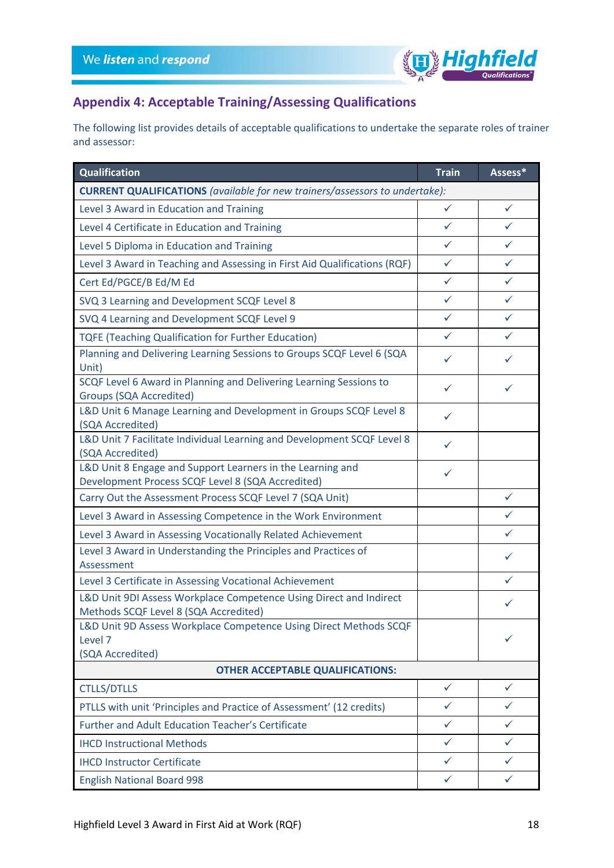

# <span id="page-17-0"></span>**Appendix 4: Acceptable Training/Assessing Qualifications**

The following list provides details of acceptable qualifications to undertake the separate roles of trainer and assessor:

| Qualification                                                                                                   | <b>Train</b> | Assess*      |  |  |  |  |  |
|-----------------------------------------------------------------------------------------------------------------|--------------|--------------|--|--|--|--|--|
| <b>CURRENT QUALIFICATIONS</b> (available for new trainers/assessors to undertake):                              |              |              |  |  |  |  |  |
| Level 3 Award in Education and Training                                                                         | $\checkmark$ | ✓            |  |  |  |  |  |
| Level 4 Certificate in Education and Training                                                                   | ✓            | ✓            |  |  |  |  |  |
| Level 5 Diploma in Education and Training                                                                       | $\checkmark$ | ✓            |  |  |  |  |  |
| Level 3 Award in Teaching and Assessing in First Aid Qualifications (RQF)                                       | $\checkmark$ | ✓            |  |  |  |  |  |
| Cert Ed/PGCE/B Ed/M Ed                                                                                          | $\checkmark$ | ✓            |  |  |  |  |  |
| SVQ 3 Learning and Development SCQF Level 8                                                                     | $\checkmark$ | ✓            |  |  |  |  |  |
| SVQ 4 Learning and Development SCQF Level 9                                                                     | $\checkmark$ | $\checkmark$ |  |  |  |  |  |
| <b>TQFE (Teaching Qualification for Further Education)</b>                                                      | ✓            | ✓            |  |  |  |  |  |
| Planning and Delivering Learning Sessions to Groups SCQF Level 6 (SQA<br>Unit)                                  | ✓            | ✓            |  |  |  |  |  |
| SCQF Level 6 Award in Planning and Delivering Learning Sessions to<br><b>Groups (SQA Accredited)</b>            | ✓            | ✓            |  |  |  |  |  |
| L&D Unit 6 Manage Learning and Development in Groups SCQF Level 8<br>(SQA Accredited)                           | ✓            |              |  |  |  |  |  |
| L&D Unit 7 Facilitate Individual Learning and Development SCQF Level 8<br>(SQA Accredited)                      | ✓            |              |  |  |  |  |  |
| L&D Unit 8 Engage and Support Learners in the Learning and<br>Development Process SCQF Level 8 (SQA Accredited) | ✓            |              |  |  |  |  |  |
| Carry Out the Assessment Process SCQF Level 7 (SQA Unit)                                                        |              | ✓            |  |  |  |  |  |
| Level 3 Award in Assessing Competence in the Work Environment                                                   |              | ✓            |  |  |  |  |  |
| Level 3 Award in Assessing Vocationally Related Achievement                                                     |              | ✓            |  |  |  |  |  |
| Level 3 Award in Understanding the Principles and Practices of<br>Assessment                                    |              | ✓            |  |  |  |  |  |
| Level 3 Certificate in Assessing Vocational Achievement                                                         |              | ✓            |  |  |  |  |  |
| L&D Unit 9DI Assess Workplace Competence Using Direct and Indirect<br>Methods SCQF Level 8 (SQA Accredited)     |              | ✓            |  |  |  |  |  |
| L&D Unit 9D Assess Workplace Competence Using Direct Methods SCQF<br>Level 7<br>(SQA Accredited)                |              | ✓            |  |  |  |  |  |
| <b>OTHER ACCEPTABLE QUALIFICATIONS:</b>                                                                         |              |              |  |  |  |  |  |
| <b>CTLLS/DTLLS</b>                                                                                              | $\checkmark$ | $\checkmark$ |  |  |  |  |  |
| PTLLS with unit 'Principles and Practice of Assessment' (12 credits)                                            | ✓            | ✓            |  |  |  |  |  |
| <b>Further and Adult Education Teacher's Certificate</b>                                                        | $\checkmark$ | ✓            |  |  |  |  |  |
| <b>IHCD Instructional Methods</b>                                                                               | $\checkmark$ | ✓            |  |  |  |  |  |
| <b>IHCD Instructor Certificate</b>                                                                              | $\checkmark$ | ✓            |  |  |  |  |  |
| <b>English National Board 998</b>                                                                               | $\checkmark$ | $\checkmark$ |  |  |  |  |  |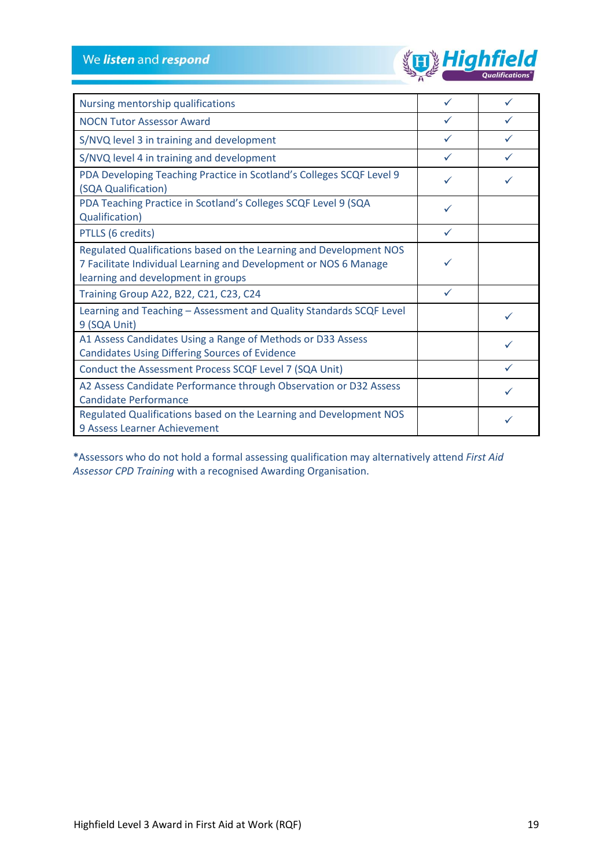

| Nursing mentorship qualifications                                                                                                                                            |              |  |
|------------------------------------------------------------------------------------------------------------------------------------------------------------------------------|--------------|--|
| <b>NOCN Tutor Assessor Award</b>                                                                                                                                             | $\checkmark$ |  |
| S/NVQ level 3 in training and development                                                                                                                                    | $\checkmark$ |  |
| S/NVQ level 4 in training and development                                                                                                                                    | $\checkmark$ |  |
| PDA Developing Teaching Practice in Scotland's Colleges SCQF Level 9<br>(SQA Qualification)                                                                                  |              |  |
| PDA Teaching Practice in Scotland's Colleges SCQF Level 9 (SQA<br>Qualification)                                                                                             | ✓            |  |
| PTLLS (6 credits)                                                                                                                                                            | ✓            |  |
| Regulated Qualifications based on the Learning and Development NOS<br>7 Facilitate Individual Learning and Development or NOS 6 Manage<br>learning and development in groups |              |  |
| Training Group A22, B22, C21, C23, C24                                                                                                                                       | ✓            |  |
| Learning and Teaching - Assessment and Quality Standards SCQF Level<br>9 (SQA Unit)                                                                                          |              |  |
| A1 Assess Candidates Using a Range of Methods or D33 Assess<br><b>Candidates Using Differing Sources of Evidence</b>                                                         |              |  |
| Conduct the Assessment Process SCQF Level 7 (SQA Unit)                                                                                                                       |              |  |
| A2 Assess Candidate Performance through Observation or D32 Assess<br><b>Candidate Performance</b>                                                                            |              |  |
| Regulated Qualifications based on the Learning and Development NOS<br>9 Assess Learner Achievement                                                                           |              |  |

**\***Assessors who do not hold a formal assessing qualification may alternatively attend *First Aid Assessor CPD Training* with a recognised Awarding Organisation.